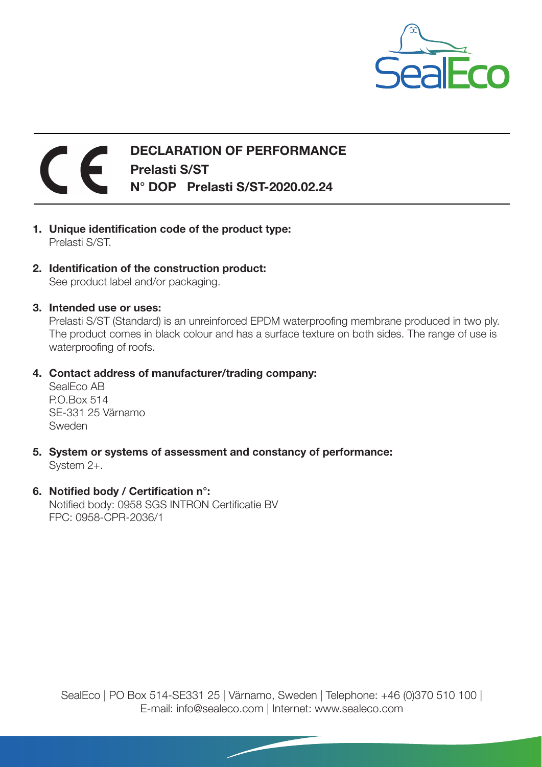

## DECLARATION OF PERFORMANCE Prelasti S/ST N° DOP Prelasti S/ST-2020.02.24

- 1. Unique identification code of the product type: Prelasti S/ST.
- 2. Identification of the construction product: See product label and/or packaging.
- 3. Intended use or uses:

Prelasti S/ST (Standard) is an unreinforced EPDM waterproofing membrane produced in two ply. The product comes in black colour and has a surface texture on both sides. The range of use is waterproofing of roofs.

4. Contact address of manufacturer/trading company:

SealEco AB P.O.Box 514 SE-331 25 Värnamo Sweden

5. System or systems of assessment and constancy of performance:

System 2+.

6. Notified body / Certification n°: Notified body: 0958 SGS INTRON Certificatie BV FPC: 0958-CPR-2036/1